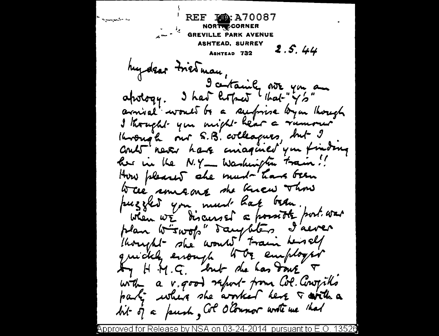REF 100: A70087 بالمشتهلية NORTY CORNER  $\mu$ <sup>1</sup> GREVILLE PARK AVENUE ASHTEAD, SURREY  $2.5.44$ ASHTEAD 732 hydear triedman, apology. I had little that " $y'_2$ " arnival would be a surfrise by an though I thought you might hear a rumour Krough our S.B. colleagues, but I Crub never have consigned you finding her in the N.Y - Washington train! How pleased she must have been Were someong she knew Thou puzzled you must hat been. when we discursed a possible port was plan wirwop" daughters I'aever thought she would train herself quickly enough the employer Any H.M.G. but due has don't T with a v. good report from Col. Conogiths party where she arrived here I with a hit of a push, Col O'Counor write me that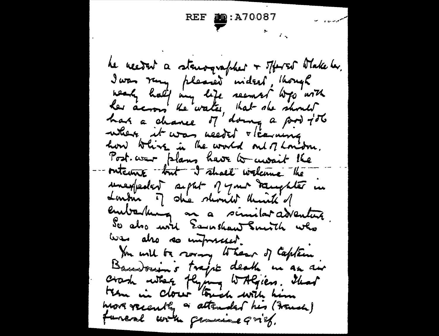REF  $\sum_{n=1}^{\infty}$ : A70087 he neered a stanographer + Tfored Wake be. I was rung pleased wident, though<br>weaky half my life resment was with her across the water, that she should where it was needed vicaning how which is the world out of London. Post war plans have to work the interne but I shall welcome the unexpedent septer pyour toughter in Londin of ohier showith think of embarbana an a similar adventure So also used Earnshaw Smith who we also so unforsaged. You will be rowing to hear of Captain Baudouin's traje death in an air crash where flying withgiers. That them in closer touch with him work recently a attended his (French) funeal with generice grief.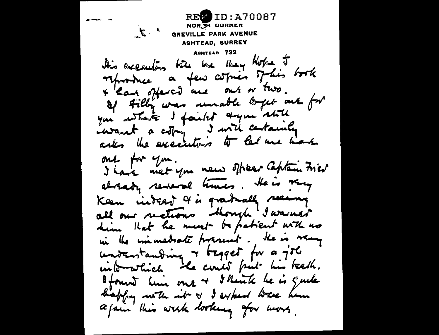**REW ID: A70087** NOR SI CORNER  $\mathcal{L}$ **GREVILLE PARK AVENUE** ASHTEAD, SURREY ASHTEAD 732 this execution till the they those it reproduce a few copies of his book + han offered me out or two. If Filly was unable to get out for you while I failed a you shill iwant a copy I will certainly one for you. I have met you new officer Captain Fries alrady reveral times. He is very Keen interst 4 is gradually seeing all our metions though I wasness him that he ment - to patient with no in the immediate proceed. He is very untentanding & tegget for a job into which the circles fait his teach. found him one + I think he is quite kappy with it of I expect where him a fair this wisk looking for more,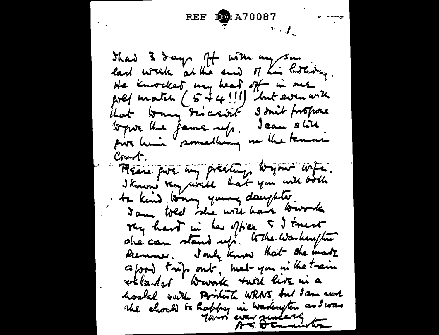REF **10**: A70087 That 3 days of with my same last work at the end of his howby. He knocked my head off in me poel match (5 + 4! ! ) "but even with that tony discredit a don't propose topur the jame up. Jean still. m the tennes for him smelling  $\mathcal{C}_{\mathsf{root}}$ . Please put my presting togan wife. I Know they would hat you will both te kind wong young daughter. I am told she will have work ray hard in her office 5 I trust she can stand up. When was himpon Diemmer. Jouly Know that she made a food, top out, met- you in the train \*t landed warrik twill live in a hostal with Bonton WRNS and Jam such the should be hably in warkington as I was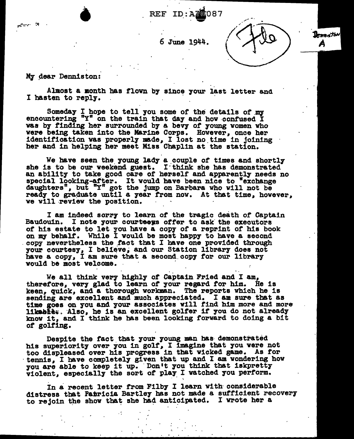# REF ID:A20087 **Add**

6 June 1944.

 $\mathbf{D}_{\boldsymbol{c}\boldsymbol{n}\boldsymbol{n}\boldsymbol{\kappa}}$ ton



ंप

Almost a month has flown by since your last letter and I hasten to repl7.

Someday  $I$  hope to tell you some of the details of  $m$ encountering "Y" on the train that day and how confused I was by finding her surrounded by a bevy of young women who were being taken into the Marine Corps. However, once her identification was properly made, I lost no time in joining her and in helping her meet Miss Chaplin at the station.

We have seen the young lady a couple of times and shortly she is to be our weekend guest. I think she has demonstrated an ability to take good care of herself and apparently needs no special looking-after. It would have been nice to "exchange daughters", but "Y" got the jump on Barbara who will not be ready to graduate until a year from now. At that time, however, we will review the position.

I am indeed sorry to learn of the tragic death of Captain Baudouin. I note your courteens offer to ask the executors of his estate to let you have a copy of a reprint of his book on my behalf. While I would be most happy to have a second copy nevertheless the fact that I have one provided through your courtesy, I believe, and our Station library does not have a copy, I am sure that a second copy for our library would be most welcome.

We all think very highly of Captain Fried and I am, therefore, very glad to learn of your regard for him. He is keen, quick, and a thorough workman. The reports which he is sending are excellent and much appreciated. I am sure that as time goes on you and your associates will f'ind him more and more likabke: Also, he is an excellent golfer if you do not already know 1t. and I think he bas been looking forward to doing a bit of golfing.

Despite the fact that your young man has demonstrated his superiority over you in golf, I imagine that you were not too displeased over his progress in that wicked game. As for<br>tennis, I have completely given that up and I am wondering how tennis, I have completely given that up and I am wondering how you are able to keep it up. Don't you think that iskpretty violent, especially the sort of play I watched you perform.

In a recent letter from Filby I learn with considerable distress that Patricia Bartley has not made a sufficient recovery to rejoin the show that she had anticipated. I wrote her a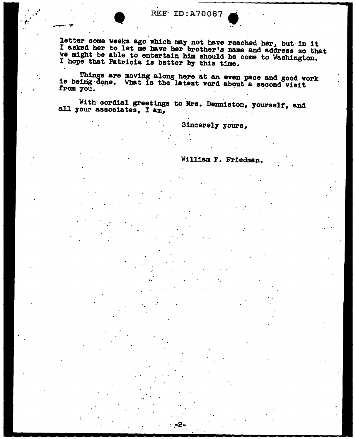REF ID:A70087

letter some weeks ago which may not have reached her, but in it I asked her to let me have her brother's name and address so that ve might be able to entertain him should be come to Washington. I hope tbat Patricia is better by this time.

Things are moving along here at an even pace and good work is being done. What is the latest word about a second visit from you.

With cordial greetings to Mrs. Denniston, yourself, and all your associates, I am.

 $-2-$ 

Sincerely yours,

William F. Friedman.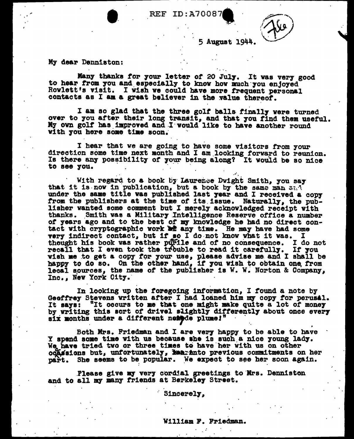REF ID: A70087

5 Auguat 1944.

.•'

My dear Denniston:

Many thanks for your letter of 20 July. It was very good to hear from you and especially to know how much you enjoyed Rowlett's visit. I wish we could have more frequent personal contacts as I am a great believer in the value thereof.

I am so glad that the three golf balls finally were turned over to you after their long transit, and that you find them useful. My own golf has improved and I would like to have another round with you here some time soon.

I hear that we are going to have some visitors from your direction some time next month and I am looking forward to reunion. Is there any possibility of your being along? It would be so nice to see you.

With regard to a book by Laurence Dwight Smith, you say that it is now in publication, but a book by the same man sad under the same title was published last year and I received a copy from the publishers at the time of its issue. Naturally, the pub-<br>lisher wanted some comment but I merely acknowledged receipt with thanks. Smith was a Military Intelligence Reserve office a number *ot* years ago and to the beat *ot* 111.J' knowledge he bad no direct contact with cryptographic work at any time. He may have had some  $\frac{1}{10}$  for  $\frac{1}{10}$  and  $\frac{1}{10}$  for  $\frac{1}{10}$  have vhat it was. I very indirect contact, but if so I do not know what it was. I thought his book was rather purile and of no consequence. I do not thought his book was rather purile and of no consequence. recall that I even took the trouble to read it carefully. If you vish me to get a copy for your use, please advise me and I shall be happy to do so. On the other hand, if you wish to obtain one from lecal sources, the name of the publisher is W. W. Norton & Company, Inc., New York City.

In looking up the foregoing information, I found a note by<br>Geoffrey Stevens written after I had loaned him my copy for perusal. It says: "It occurs to me that one might make quite a lot of money by writing this sort of drivel slightly differently about once every six months under a different nemete plume!"

Both Mrs. Friedman and I are very happy to be able to have - . Both Mrs. Friedman and I are very happy to be able to have  $\mathbf x$  spend some time with us because she is such a nice young lady. We have tried tvo or three times to have her with us on other  $\alpha$ dasions but, unfortunately, kanto previous commitments on her part. She seems to be popular. We expect to see her soon again.

Please give my very cordial greetings to Mrs. Denniston and to all my many friends at Berkeley Street.

S1ncerel7,

#### William P. Friedman.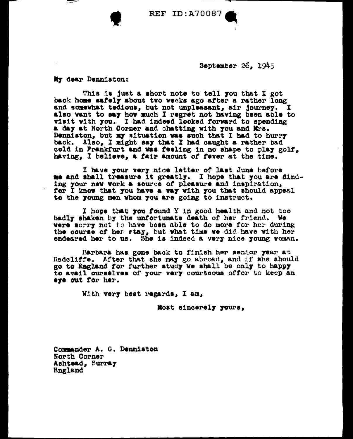**REF ID: A70087** 

September  $26.1945$ 

My dear Denniston:

This is just a short note to tell you that I got back home safely about two weeks ago after a rather long and somewhat tedious, but not unpleasant, air journey. I also want to say how much I regret not having been able to visit with you. I had indeed looked forward to spending a day at North Corner and chatting with you and Mrs. Denniston, but my situation was such that I had to hurry back. Also, I might say that I had caught a rather bad cold in Frankfurt and was feeling in no shape to play golf, having, I believe, a fair amount of fever at the time.

I have your very nice letter of last June before me and shall treasure it greatly. I hope that you are finding your new work a source of pleasure and inspiration, for I know that you have a way with you that should appeal to the young men whom you are going to instruct.

I hope that you found Y in good health and not too badly shaken by the unfortunate death of her friend. We were sorry not to have been able to do more for her during the course of her rtay, but what time we did have with her endeared her to us. She is indeed a very nice young woman.

Barbara has gone back to finish her senior year at Radcliffe. After that she may go abroad, and if the should go to England for further study we shall be only to happy to avail ourselves of your very courtsous offer to keep an eye out for her.

With very best regards, I am,

Most sincerely yours,

Commander A. G. Denniston North Corner Ashtead, Surray England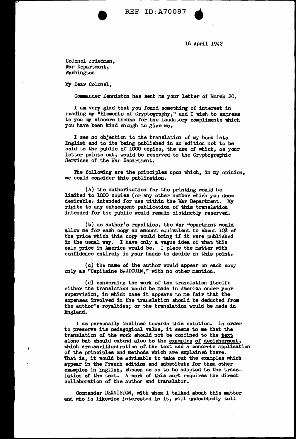

16 April 1942

Colonel Friedman, War Department, ~"iashington

My Dear Colonel.

Commander Denniston has sent me your letter of March 20.

I am very glad that you found something of interest in reading my "Elements of Cryptography," and I wish to express to you my sincere thanks for the laudatory compliments which you have been kind enough to give me.

I see no objectim to :the translatim of *nw* book into English and to its being published in an editim not to be sold to the public of 1000 copies, the use of which, as your letter points out, would be reserved to the Cryptographic Services of the War Department.

The following are the principles upon which, in my opinion, we could consider this publication.

(a) the authorization for the printing would be limited to 1000 copies (or any other number which you deem desirable) intended for use within the War Department. My rights to any subsequent publication of this translation intended for the public would remain distinctly reserved.

(b) as author's royalties, the war "epartment would allow me for each copy an amount equivalent to about  $10\%$  of the price which this copy would bring if it were published in the usual way. I have only a vague idea of what this sale price in America would be. I place the matter with confidence entirely in your hands to decide on this point.

(c) the name of the author would appear on each copy only as "Capitaine BAUDOUlN," with no other mention.

(d) concerning the work o£ the translation itself: either the translation would be made in America under your supervision, in which case it appears to me fair that the expenses involved in the translation should be deducted from the author's royalties; or the translation would be made in England.

I am personally inclined towards this solution. In order to preserve its pedagogical value, it seems to me that the translation of the work should not be confined to the text alone but should extend also to the examples of decipherment, which are:an:illustration of the text and a concrete application of the principles and methods which are explained there. That is, it would be advisable to take out the examples which appear in the French edition and substitute for them other examples in English, chosen so as to be adapted to the translation of the text. A work of this sort requires the direct collaboration of the author and translator.

Commander DENNISTON, with whom I talked about this matter and who is likewise interested in it, will undoubtedly tell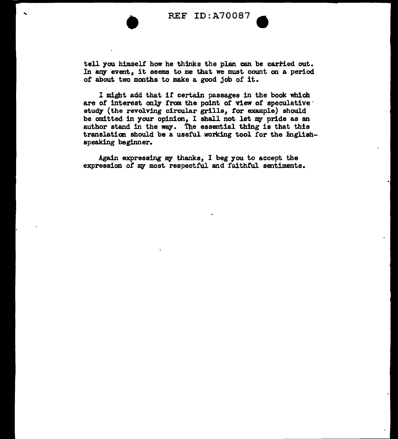

tell you himself' how he thinks the plan can be carried out. In any event, it seems to me that we must count on a period of about two months to make a good job of it.

I might add that if certain passages in the book which are of interest only from the point of view of speculative study (the revolving circular grills, for example) should be omitted in your opinion, I shall not let my pride as an author stand in the way. The essential thing is that this translation should be a useful working tool for the Englishspeaking beginner.

Again expressing my thanks, I beg you to accept the expression of my most respectful and faithful sentiments.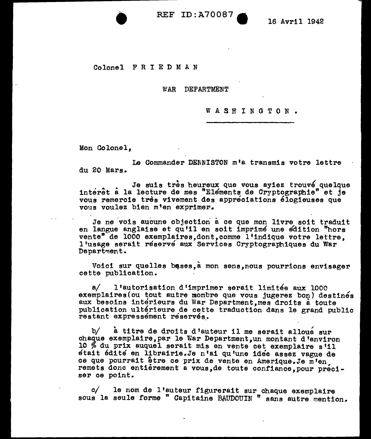**• REF ID:A70087 •** 

16 Avril 1942

### Colonel F R I E D M A N

#### WAR DEPARTMENT

#### WASHINGTON.

Mon Colonel.

Le Commander DENNISTON m•a transmis votre lettre du 20 Mars.

Je suis très heureux que vous ayiez trouvé quelque interet a la lecture de mes "Elements de Cryptographie" et je vous remercie tres vivement des appreciations elogieuses que vous voulez bien m'en exprimer.

Je ne vois aucune objection a ce que mon livre soit traduit en langue anglaise et qu'il en soit imprimé une edition "hors vente" de 1000 exemplaires,dont,comme 1 <sup>1</sup>1ndique votre lettre, <sup>1</sup> <sup>1</sup>usage serait reserve aux Services Cryptographiques du War Department.

Voici sur quelles bases, a mon sens, nous pourrions envisager cette publication.

a/ 1 <sup>1</sup>autorisation d'imprimer serait limitee aux 1000 exemplaires (ou tout autre mombre que vous jugerez bon) destinés aux besoins interieurs du War Department,mes droits a toute publication ultérieure de cette traduction dans le grand public restant expressement reservés.

b/ à titre de droits d'auteur il me serait alloue sur chaque exemplaire, par le War Department, un montant d'environ 10  $%$  du prix auquel serait mis en vente cet exemplaire s'il etait edite en librairie.Je n'ai qu'une idee assez vague de ce que pourrait être ce prix de vente en Amerique.Je m'en remets donc entierement a vous, de toute confiance, pour preciser ce point.

*of* le nom de l'auteur figurerait sur chaque exemplaire sous la seule forme " Capitaine BAUDOUIN " sans autre mention.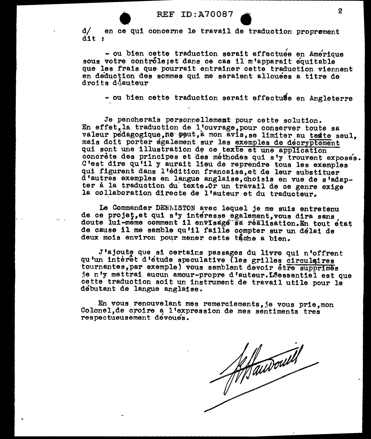REF ID:A70087<br>ce qui concerne le travail de traduction proprement d/ en ce qui concerne le travail de traduction proprement dit :

- ou bien cette traduction serait effectuee en Amerique sous votre contróle;et dans ce cas il m'apparait equitable que les frais que pourrait entrainer cette traduction viennent en deduction des sommes qui me seraient allouees a titre de droits déauteur

- ou bien cette traduction serait effectuse en Angleterre

Je pencherais personnellememt pour cette solution. En effet, la traduction de l'ouvrage, pour conserver toute sa valeur pédagogique,ne peut, à mon avis, se limiter au texte seul. mais doit porter egalement sur les exemples de decryptement qui sont une illustration de ce texte et une application concrète des principes et des méthodes qui s'y trouvent exposés. C'est dire qu'il y aurait lieu de reprendre tous les examples qui figurent dans l'édition francaise, et de leur substituer d'autres examples en langue anglaise,choisis en vue de s'adapter à la traduction du texte.Or un travail de ce genre exige la collaboration directe de l'auteur et du traducteur.

Le Commander DENhISTON avec lequel je me suis entretenu de ce projet, et qui s'y interesse egalement, vous dira sans doute lui-meme comment il envisage sa réalisation.En tout état de cause 11 me semble qu'il faille compter sur un delai de deux mois environ pour mener cette tache a bien.

J'ajoute que si certains passages du livre qui n'offrent<br>qu'un intérêt d'étude speculative (les grilles circulaires tournantes, par exemple) vous semblent devoir être supprimes je n'y mettrai aucun amour-propre d'auteur. L'éessentiel est que cette traduction soit un instrument de travail utile pour le debutant de langue anglaise.

En vous renouvelant mes remerciements, je vous prie, mon Colonel, de croire a l'expression de mes sentiments tres respectueusement devoues.

Athanwould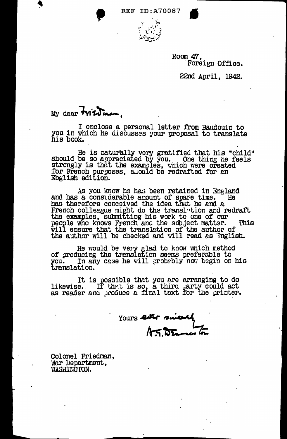**REF ID: A70087** 



Room 47. Foreign Office.

22nd April, 1942.

## My dear **Wiedman**.

I enclose a personal letter from Baudouin to you in which he discusses your proposal to translate his book.

He is naturally very gratified that his "child"<br>should be so appreciated by you. One thing he feels<br>strongly is that the examples, which were created<br>for French purposes, should be redrafted for an<br>Ebglish edition.

As you know he has been retained in England and has a considerable amount of spare time. He has therefore conceived the idea that he and a French colleague might do the translution and redraft<br>the examples, submitting his work to one of our<br>people who knows French and the subject matter. This This will ensure that the translation of the author of the author will be checked and will read as English.

He would be very glad to know which method<br>of producing the translation seems preferable to you. In an translation. In any case he will probably now begin on his

It is possible that you are arranging to do<br>likewise. If that is so, a third larty could act<br>as reader and produce a final toxt for the printer.

Yours letter since

Colonel Friedman, War Department, WASHINGTON.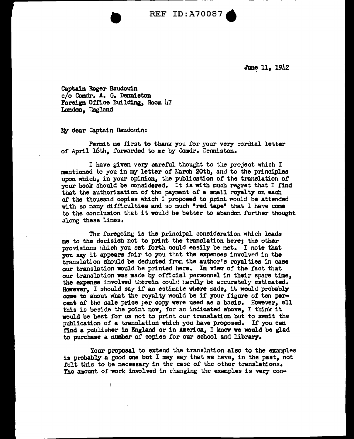• REF ID:A70087.

June 11, 1942

Captain Roger Baudouin c/o Coadr. A. *a.* Denniston Foreign Office Building, Room 47 London, Ingland

My dear Captain Baudouin:

J.

Penait me first to thank you for your very cordial letter of April 16th, forwarded to me by Comdr. Denniston.

I have given very careful thought to the project which I mentioned to you in my letter of March 20th, and to the principles upon which, in your opinion, the publication of the translation of your book should be oonsidered. It is with much regret that I find that the authorization of the payment of a small royalty on each of the thousand copies which I proposed to print would be attended with so many difficulties and so much "red tape" that I have come to the concluaion that it would be better to abandon further thought along these lines.

The foregoing is the principal consideration which leads me to the decision not to print the translation here; the other provisions which you set forth could easily be met. I note that you say it appears fair to you that the expenses involved in the translation should be deducted from the author's royal ties in case our translation would be printed here. In view of the fact that our translation was made by official personnel in their spare time, the expense involved therein could hardly be accurately estimated. However, I should say if an estimate where made, it would probably come to about what the royalty would be if your figure of ten percent of the sale price per copy were used as a basis. However, all this is beside the point now, for as indicated above, I think it would be best for us not to print our translation but to await the publication of a translation which you have proposed. If you can find a publisher in England or in America, I know we would be glad to purchase a number of copies for our school and library.

Your proposal to extend the translation also to the examples is probably a good one but I may say that we have, in the past, not felt this to be necessary in the case of the other translations. The amount of work involved in changing the examples is very con-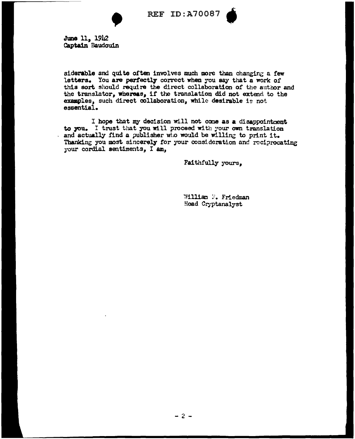

**REF ID:A70087** 



June 11, 1942 Captain Baudouin

siderable and quite often involves much more than changing a few letters. You are perfectly correct when you say that a work of this sort should require the direct collaboration of the author and the translator, whereas, if the translation did not extend to the examples, such direct collaboration, while desirable is not essential.

I hope that my decision will not come as a disappointment to you. I trust that you will proceed with your own translation and actually find a publisher who would be willing to print it. Thanking you most sincerely for your consideration and reciprocating your cordial sentiments, I am,

Faithfully yours,

William F. Friedman Head Cryptanalyst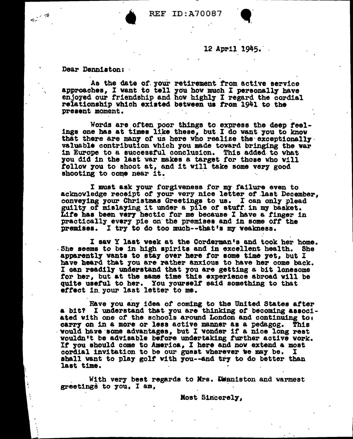

Dear Denniston:

زير

As the date of your retirement from active service approaches, I want to tell you how much I personally have enjoyed our friendship and how highly I regard the cordial relationship which existed between us from 1941 to the present moment.

Words are often poor things to express the deep feelings one has at times like these, but I do want you to know that there are many of us here who realize the exceptionally. valuable contribution which you made toward bringing the war in Europe to a successful conclusion. This added to what you did in the last war makes a target for those who will follow you to shoot at, and it will take some very good shooting to come near it.

I must ask your forgiveness for my failure even to acknowledge receipt of your very nice letter of last December. conveying your Christmas Greetings to us. I can only plead guilty of mislaying it under a pile of stuff in my basket.<br>Life has been very hectic for me because I have a finger in practically every pie on the premises and in some off the premises. I try to do too much--that's my weakness.

I saw Y last week at the Corderman's and took her home. She seems to be in high spirits and in excellent health. She apparently wants to stay over here for some time yet, but I have heard that you are rather anxious to have her come back. I can readily understand that you are getting a bit lonesome for her. but at the same time this experience abroad will be quite useful to her. You yourself said something to that effect in your last letter to me.

Have you any idea of coming to the United States after a bit? I understand that you are thinking of becoming associated with one of the schools around London and continuing to: carry on in a more or less active manner as a pedagog. This would have some advantages, but I wonder if a nice long rest wouldn't be advisable before undertaking further active work. If you should come to America, I here and now extend a most cordial invitation to be our guest wherever we may be.  $\mathbf{I}$ shall want to play golf with you--and try to do better than last time.

With very best regards to Mrs. Deniston and warmest greetings to you, I am,

Most Sincerely,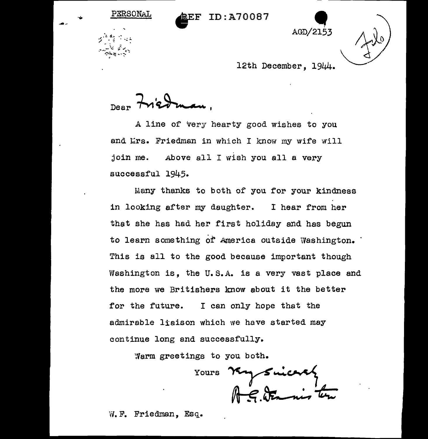

 $\frac{1}{2}$ .

12th December, 1944. ~

 $_{\text{Dear}}$  triedman,

PERSONAL

 $\mathscr{F}^{\mathscr{M}}$  is a  $\mathscr{F}$ 

A line of very hearty good wishes to you and Lrs. Friedman in which I know my wife will join me. Above all I wish you all a very successful 1945.

Many thanks to both of you for your kindness in looking after my daughter. I hear from her that she has had her first holiday and has begun to learn something of America outside Washington. This is all to the good because important though Washington is, the U.S.A. is a very vast place and the more we Britishers know about it the better for the future. I can only hope that the admirable liaison which we have started may continue long and successfully.

Warm greetings to you both.

Yours Ry Suicard

W.F. Friedman, Esq.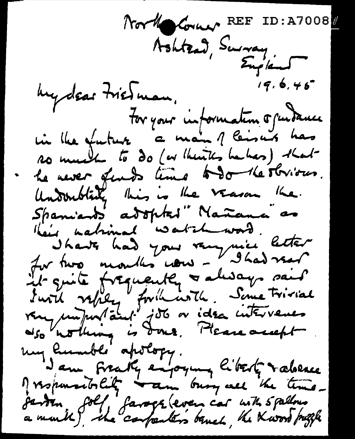North Corner REF ID: A7008  $19.6.46$ hydear Friedman, For your information of undance in the future a main of leisure has so much to do (or theirtes habes) that he never funds time todo the stribus. Underblack this is the verson the. Spaniants adopted" Nañana" as spanients as spired itaniana as<br>"I have had your very nice letter"<br>In two mouths now - I had very<br>it guite frequently a disay said<br>it guite frequently a disay said<br>it will velocy for the liter very nothing is done, Please my humble apology.<br>Jam fraky enjoying liberty raberes My monumentality warm busy all the time. jarden foll farsogr (even car with 5 pallous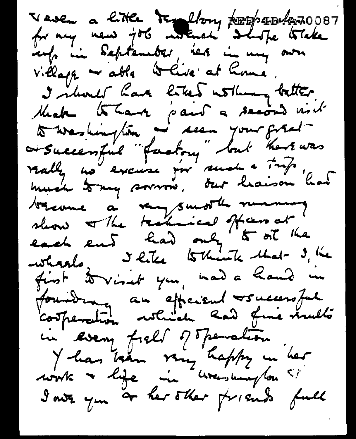Veve a little temploy postpassion 10087 info in September, net in my own village - able to live at home. I should have liked withing better Make than pair a second visit to washington a seem your great trienne à renfond manure first to visit you, had a hand in foundrag au efficient vouccessful in every field of Trenation.<br>Y has been very happy in her<br>work - life in uresumplom ?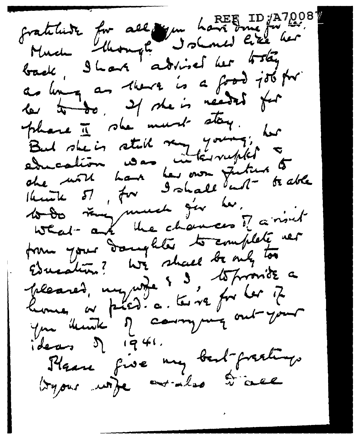fratiliste for all you have true 10 127001 as long as there is a food job for le to do. Il she is néeded for phase I she must stay. But she is still run young, her che mott hans her own future to able to do vous much j'er les, form your daughter to complete ver Education? We shall be only too pleased, my wife 5 3, to provide a home, or plat a terre for les 2 you think of company out your Plane five my bart-fractings tryous unje aralso trace